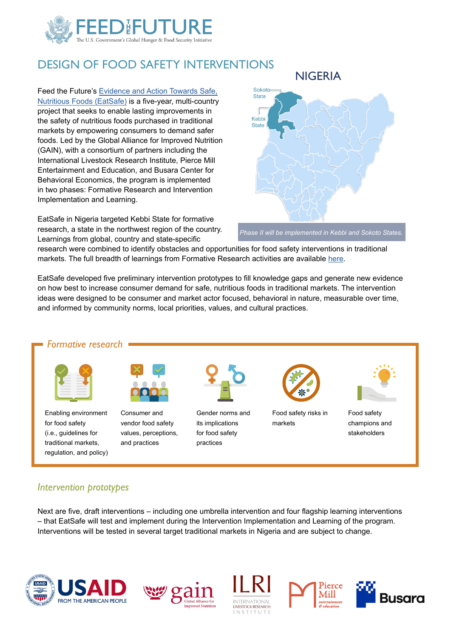

# DESIGN OF FOOD SAFETY INTERVENTIONS

Feed the Future's [Evidence and Action Towards Safe,](https://www.gainhealth.org/impact/programmes/eatsafe)  [Nutritious Foods \(EatSafe\)](https://www.gainhealth.org/impact/programmes/eatsafe) is a five-year, multi-country project that seeks to enable lasting improvements in the safety of nutritious foods purchased in traditional markets by empowering consumers to demand safer foods. Led by the Global Alliance for Improved Nutrition (GAIN), with a consortium of partners including the International Livestock Research Institute, Pierce Mill Entertainment and Education, and Busara Center for Behavioral Economics, the program is implemented in two phases: Formative Research and Intervention Implementation and Learning.

EatSafe in Nigeria targeted Kebbi State for formative research, a state in the northwest region of the country. Learnings from global, country and state-specific



*Phase II will be implemented in Kebbi and Sokoto States.*

research were combined to identify obstacles and opportunities for food safety interventions in traditional markets. The full breadth of learnings from Formative Research activities are available [here](https://www.gainhealth.org/resources/reports-and-publications?field_resource_type_target_id=All&field_paper_series_target_id=All&field_countries_target_id=All&field_topics_target_id=All&populate=1793&field_year_target_id=all&field_target_groups_target_id=All).

EatSafe developed five preliminary intervention prototypes to fill knowledge gaps and generate new evidence on how best to increase consumer demand for safe, nutritious foods in traditional markets. The intervention ideas were designed to be consumer and market actor focused, behavioral in nature, measurable over time, and informed by community norms, local priorities, values, and cultural practices.



#### *Intervention prototypes*

Next are five, draft interventions – including one umbrella intervention and four flagship learning interventions – that EatSafe will test and implement during the Intervention Implementation and Learning of the program. Interventions will be tested in several target traditional markets in Nigeria and are subject to change.